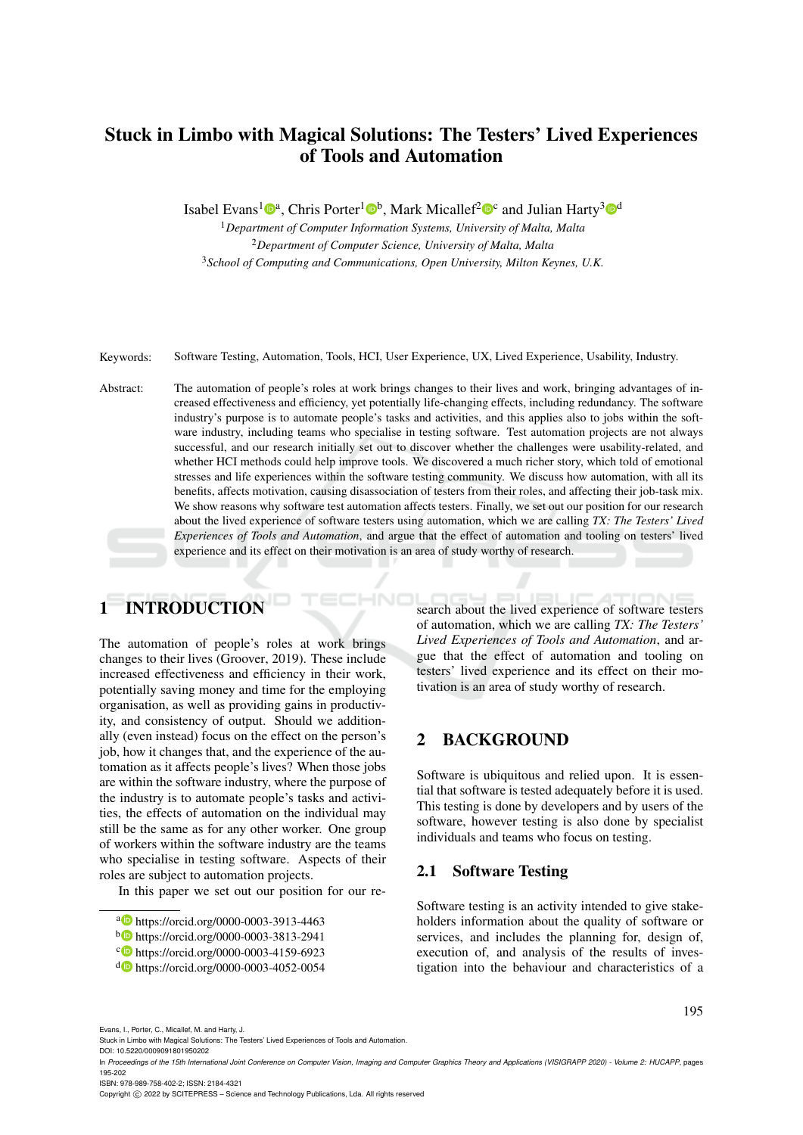# Stuck in Limbo with Magical Solutions: The Testers' Lived Experiences of Tools and Automation

Isabel Evans<sup>1</sup><sup>®</sup>, Chris Porter<sup>1</sup><sup>®</sup>, Mark Micallef<sup>2</sup><sup>®</sup> and Julian Harty<sup>3</sup><sup>®</sup>

<sup>1</sup>*Department of Computer Information Systems, University of Malta, Malta* <sup>2</sup>*Department of Computer Science, University of Malta, Malta* <sup>3</sup>*School of Computing and Communications, Open University, Milton Keynes, U.K.*

Keywords: Software Testing, Automation, Tools, HCI, User Experience, UX, Lived Experience, Usability, Industry.

Abstract: The automation of people's roles at work brings changes to their lives and work, bringing advantages of increased effectiveness and efficiency, yet potentially life-changing effects, including redundancy. The software industry's purpose is to automate people's tasks and activities, and this applies also to jobs within the software industry, including teams who specialise in testing software. Test automation projects are not always successful, and our research initially set out to discover whether the challenges were usability-related, and whether HCI methods could help improve tools. We discovered a much richer story, which told of emotional stresses and life experiences within the software testing community. We discuss how automation, with all its benefits, affects motivation, causing disassociation of testers from their roles, and affecting their job-task mix. We show reasons why software test automation affects testers. Finally, we set out our position for our research about the lived experience of software testers using automation, which we are calling *TX: The Testers' Lived Experiences of Tools and Automation*, and argue that the effect of automation and tooling on testers' lived experience and its effect on their motivation is an area of study worthy of research.

# 1 INTRODUCTION

The automation of people's roles at work brings changes to their lives (Groover, 2019). These include increased effectiveness and efficiency in their work, potentially saving money and time for the employing organisation, as well as providing gains in productivity, and consistency of output. Should we additionally (even instead) focus on the effect on the person's job, how it changes that, and the experience of the automation as it affects people's lives? When those jobs are within the software industry, where the purpose of the industry is to automate people's tasks and activities, the effects of automation on the individual may still be the same as for any other worker. One group of workers within the software industry are the teams who specialise in testing software. Aspects of their roles are subject to automation projects.

In this paper we set out our position for our re-

search about the lived experience of software testers of automation, which we are calling *TX: The Testers' Lived Experiences of Tools and Automation*, and argue that the effect of automation and tooling on testers' lived experience and its effect on their motivation is an area of study worthy of research.

# 2 BACKGROUND

Software is ubiquitous and relied upon. It is essential that software is tested adequately before it is used. This testing is done by developers and by users of the software, however testing is also done by specialist individuals and teams who focus on testing.

## 2.1 Software Testing

Software testing is an activity intended to give stakeholders information about the quality of software or services, and includes the planning for, design of, execution of, and analysis of the results of investigation into the behaviour and characteristics of a

195

Evans, I., Porter, C., Micallef, M. and Harty, J.

ISBN: 978-989-758-402-2; ISSN: 2184-4321

Copyright © 2022 by SCITEPRESS - Science and Technology Publications, Lda. All rights reserved

a https://orcid.org/0000-0003-3913-4463

<sup>b</sup> https://orcid.org/0000-0003-3813-2941

c https://orcid.org/0000-0003-4159-6923

<sup>d</sup> https://orcid.org/0000-0003-4052-0054

Stuck in Limbo with Magical Solutions: The Testers' Lived Experiences of Tools and Automation.

DOI: 10.5220/0009091801950202

In *Proceedings of the 15th International Joint Conference on Computer Vision, Imaging and Computer Graphics Theory and Applications (VISIGRAPP 2020) - Volume 2: HUCAPP*, pages 195-202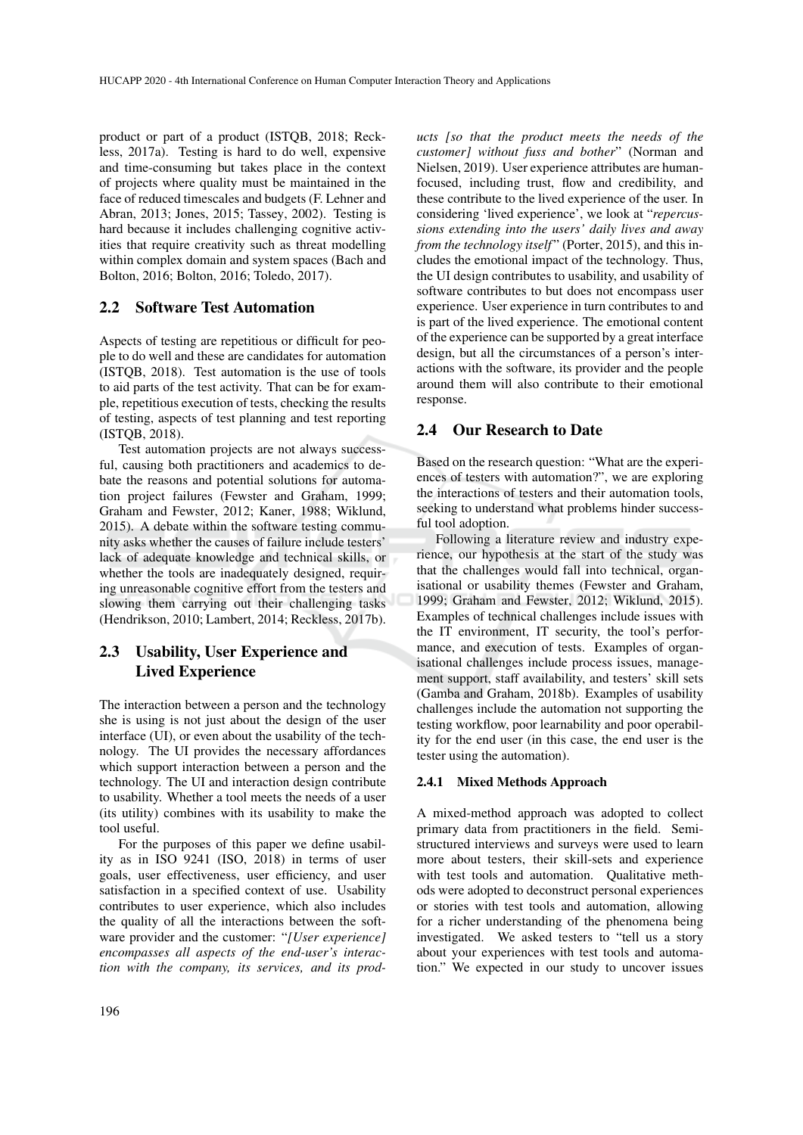product or part of a product (ISTQB, 2018; Reckless, 2017a). Testing is hard to do well, expensive and time-consuming but takes place in the context of projects where quality must be maintained in the face of reduced timescales and budgets (F. Lehner and Abran, 2013; Jones, 2015; Tassey, 2002). Testing is hard because it includes challenging cognitive activities that require creativity such as threat modelling within complex domain and system spaces (Bach and Bolton, 2016; Bolton, 2016; Toledo, 2017).

## 2.2 Software Test Automation

Aspects of testing are repetitious or difficult for people to do well and these are candidates for automation (ISTQB, 2018). Test automation is the use of tools to aid parts of the test activity. That can be for example, repetitious execution of tests, checking the results of testing, aspects of test planning and test reporting (ISTQB, 2018).

Test automation projects are not always successful, causing both practitioners and academics to debate the reasons and potential solutions for automation project failures (Fewster and Graham, 1999; Graham and Fewster, 2012; Kaner, 1988; Wiklund, 2015). A debate within the software testing community asks whether the causes of failure include testers' lack of adequate knowledge and technical skills, or whether the tools are inadequately designed, requiring unreasonable cognitive effort from the testers and slowing them carrying out their challenging tasks (Hendrikson, 2010; Lambert, 2014; Reckless, 2017b).

## 2.3 Usability, User Experience and Lived Experience

The interaction between a person and the technology she is using is not just about the design of the user interface (UI), or even about the usability of the technology. The UI provides the necessary affordances which support interaction between a person and the technology. The UI and interaction design contribute to usability. Whether a tool meets the needs of a user (its utility) combines with its usability to make the tool useful.

For the purposes of this paper we define usability as in ISO 9241 (ISO, 2018) in terms of user goals, user effectiveness, user efficiency, and user satisfaction in a specified context of use. Usability contributes to user experience, which also includes the quality of all the interactions between the software provider and the customer: "*[User experience] encompasses all aspects of the end-user's interaction with the company, its services, and its prod-*

*ucts [so that the product meets the needs of the customer] without fuss and bother*" (Norman and Nielsen, 2019). User experience attributes are humanfocused, including trust, flow and credibility, and these contribute to the lived experience of the user. In considering 'lived experience', we look at "*repercussions extending into the users' daily lives and away from the technology itself*" (Porter, 2015), and this includes the emotional impact of the technology. Thus, the UI design contributes to usability, and usability of software contributes to but does not encompass user experience. User experience in turn contributes to and is part of the lived experience. The emotional content of the experience can be supported by a great interface design, but all the circumstances of a person's interactions with the software, its provider and the people around them will also contribute to their emotional response.

## 2.4 Our Research to Date

Based on the research question: "What are the experiences of testers with automation?", we are exploring the interactions of testers and their automation tools, seeking to understand what problems hinder successful tool adoption.

Following a literature review and industry experience, our hypothesis at the start of the study was that the challenges would fall into technical, organisational or usability themes (Fewster and Graham, 1999; Graham and Fewster, 2012; Wiklund, 2015). Examples of technical challenges include issues with the IT environment, IT security, the tool's performance, and execution of tests. Examples of organisational challenges include process issues, management support, staff availability, and testers' skill sets (Gamba and Graham, 2018b). Examples of usability challenges include the automation not supporting the testing workflow, poor learnability and poor operability for the end user (in this case, the end user is the tester using the automation).

#### 2.4.1 Mixed Methods Approach

A mixed-method approach was adopted to collect primary data from practitioners in the field. Semistructured interviews and surveys were used to learn more about testers, their skill-sets and experience with test tools and automation. Qualitative methods were adopted to deconstruct personal experiences or stories with test tools and automation, allowing for a richer understanding of the phenomena being investigated. We asked testers to "tell us a story about your experiences with test tools and automation." We expected in our study to uncover issues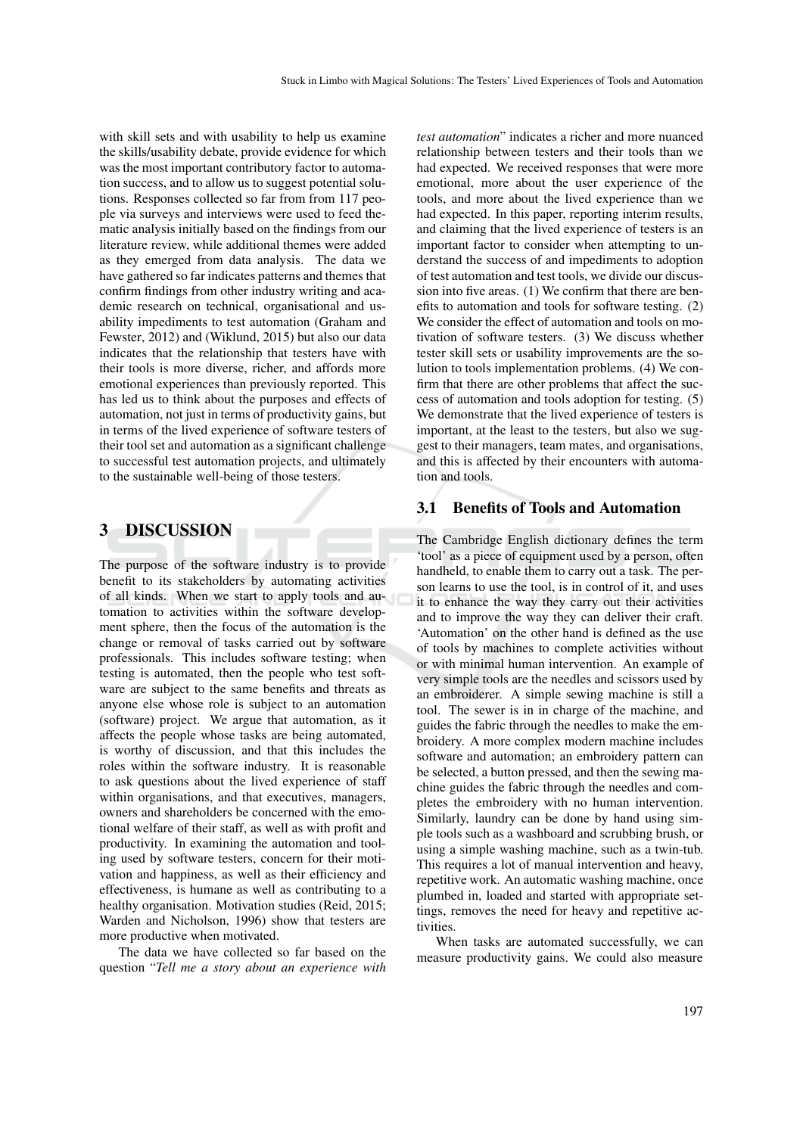with skill sets and with usability to help us examine the skills/usability debate, provide evidence for which was the most important contributory factor to automation success, and to allow us to suggest potential solutions. Responses collected so far from from 117 people via surveys and interviews were used to feed thematic analysis initially based on the findings from our literature review, while additional themes were added as they emerged from data analysis. The data we have gathered so far indicates patterns and themes that confirm findings from other industry writing and academic research on technical, organisational and usability impediments to test automation (Graham and Fewster, 2012) and (Wiklund, 2015) but also our data indicates that the relationship that testers have with their tools is more diverse, richer, and affords more emotional experiences than previously reported. This has led us to think about the purposes and effects of automation, not just in terms of productivity gains, but in terms of the lived experience of software testers of their tool set and automation as a significant challenge to successful test automation projects, and ultimately to the sustainable well-being of those testers.

## 3 DISCUSSION

The purpose of the software industry is to provide benefit to its stakeholders by automating activities of all kinds. When we start to apply tools and automation to activities within the software development sphere, then the focus of the automation is the change or removal of tasks carried out by software professionals. This includes software testing; when testing is automated, then the people who test software are subject to the same benefits and threats as anyone else whose role is subject to an automation (software) project. We argue that automation, as it affects the people whose tasks are being automated, is worthy of discussion, and that this includes the roles within the software industry. It is reasonable to ask questions about the lived experience of staff within organisations, and that executives, managers, owners and shareholders be concerned with the emotional welfare of their staff, as well as with profit and productivity. In examining the automation and tooling used by software testers, concern for their motivation and happiness, as well as their efficiency and effectiveness, is humane as well as contributing to a healthy organisation. Motivation studies (Reid, 2015; Warden and Nicholson, 1996) show that testers are more productive when motivated.

The data we have collected so far based on the question "*Tell me a story about an experience with* *test automation*" indicates a richer and more nuanced relationship between testers and their tools than we had expected. We received responses that were more emotional, more about the user experience of the tools, and more about the lived experience than we had expected. In this paper, reporting interim results, and claiming that the lived experience of testers is an important factor to consider when attempting to understand the success of and impediments to adoption of test automation and test tools, we divide our discussion into five areas. (1) We confirm that there are benefits to automation and tools for software testing. (2) We consider the effect of automation and tools on motivation of software testers. (3) We discuss whether tester skill sets or usability improvements are the solution to tools implementation problems. (4) We confirm that there are other problems that affect the success of automation and tools adoption for testing. (5) We demonstrate that the lived experience of testers is important, at the least to the testers, but also we suggest to their managers, team mates, and organisations, and this is affected by their encounters with automation and tools.

#### 3.1 Benefits of Tools and Automation

The Cambridge English dictionary defines the term 'tool' as a piece of equipment used by a person, often handheld, to enable them to carry out a task. The person learns to use the tool, is in control of it, and uses it to enhance the way they carry out their activities and to improve the way they can deliver their craft. 'Automation' on the other hand is defined as the use of tools by machines to complete activities without or with minimal human intervention. An example of very simple tools are the needles and scissors used by an embroiderer. A simple sewing machine is still a tool. The sewer is in in charge of the machine, and guides the fabric through the needles to make the embroidery. A more complex modern machine includes software and automation; an embroidery pattern can be selected, a button pressed, and then the sewing machine guides the fabric through the needles and completes the embroidery with no human intervention. Similarly, laundry can be done by hand using simple tools such as a washboard and scrubbing brush, or using a simple washing machine, such as a twin-tub. This requires a lot of manual intervention and heavy, repetitive work. An automatic washing machine, once plumbed in, loaded and started with appropriate settings, removes the need for heavy and repetitive ac**tivities** 

When tasks are automated successfully, we can measure productivity gains. We could also measure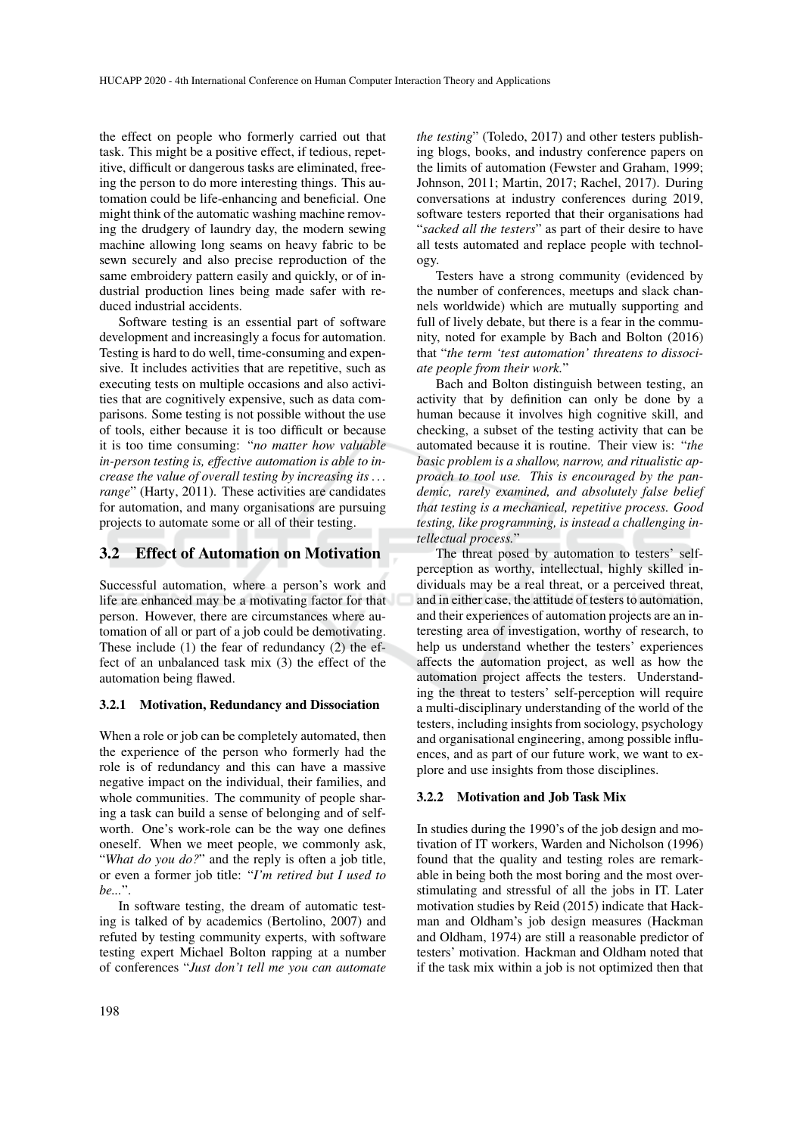the effect on people who formerly carried out that task. This might be a positive effect, if tedious, repetitive, difficult or dangerous tasks are eliminated, freeing the person to do more interesting things. This automation could be life-enhancing and beneficial. One might think of the automatic washing machine removing the drudgery of laundry day, the modern sewing machine allowing long seams on heavy fabric to be sewn securely and also precise reproduction of the same embroidery pattern easily and quickly, or of industrial production lines being made safer with reduced industrial accidents.

Software testing is an essential part of software development and increasingly a focus for automation. Testing is hard to do well, time-consuming and expensive. It includes activities that are repetitive, such as executing tests on multiple occasions and also activities that are cognitively expensive, such as data comparisons. Some testing is not possible without the use of tools, either because it is too difficult or because it is too time consuming: "*no matter how valuable in-person testing is, effective automation is able to increase the value of overall testing by increasing its . . . range*" (Harty, 2011). These activities are candidates for automation, and many organisations are pursuing projects to automate some or all of their testing.

#### 3.2 Effect of Automation on Motivation

Successful automation, where a person's work and life are enhanced may be a motivating factor for that person. However, there are circumstances where automation of all or part of a job could be demotivating. These include (1) the fear of redundancy (2) the effect of an unbalanced task mix (3) the effect of the automation being flawed.

#### 3.2.1 Motivation, Redundancy and Dissociation

When a role or job can be completely automated, then the experience of the person who formerly had the role is of redundancy and this can have a massive negative impact on the individual, their families, and whole communities. The community of people sharing a task can build a sense of belonging and of selfworth. One's work-role can be the way one defines oneself. When we meet people, we commonly ask, "*What do you do?*" and the reply is often a job title, or even a former job title: "*I'm retired but I used to be...*".

In software testing, the dream of automatic testing is talked of by academics (Bertolino, 2007) and refuted by testing community experts, with software testing expert Michael Bolton rapping at a number of conferences "*Just don't tell me you can automate*

*the testing*" (Toledo, 2017) and other testers publishing blogs, books, and industry conference papers on the limits of automation (Fewster and Graham, 1999; Johnson, 2011; Martin, 2017; Rachel, 2017). During conversations at industry conferences during 2019, software testers reported that their organisations had "*sacked all the testers*" as part of their desire to have all tests automated and replace people with technology.

Testers have a strong community (evidenced by the number of conferences, meetups and slack channels worldwide) which are mutually supporting and full of lively debate, but there is a fear in the community, noted for example by Bach and Bolton (2016) that "*the term 'test automation' threatens to dissociate people from their work.*"

Bach and Bolton distinguish between testing, an activity that by definition can only be done by a human because it involves high cognitive skill, and checking, a subset of the testing activity that can be automated because it is routine. Their view is: "*the basic problem is a shallow, narrow, and ritualistic approach to tool use. This is encouraged by the pandemic, rarely examined, and absolutely false belief that testing is a mechanical, repetitive process. Good testing, like programming, is instead a challenging intellectual process.*"

The threat posed by automation to testers' selfperception as worthy, intellectual, highly skilled individuals may be a real threat, or a perceived threat, and in either case, the attitude of testers to automation, and their experiences of automation projects are an interesting area of investigation, worthy of research, to help us understand whether the testers' experiences affects the automation project, as well as how the automation project affects the testers. Understanding the threat to testers' self-perception will require a multi-disciplinary understanding of the world of the testers, including insights from sociology, psychology and organisational engineering, among possible influences, and as part of our future work, we want to explore and use insights from those disciplines.

#### 3.2.2 Motivation and Job Task Mix

In studies during the 1990's of the job design and motivation of IT workers, Warden and Nicholson (1996) found that the quality and testing roles are remarkable in being both the most boring and the most overstimulating and stressful of all the jobs in IT. Later motivation studies by Reid (2015) indicate that Hackman and Oldham's job design measures (Hackman and Oldham, 1974) are still a reasonable predictor of testers' motivation. Hackman and Oldham noted that if the task mix within a job is not optimized then that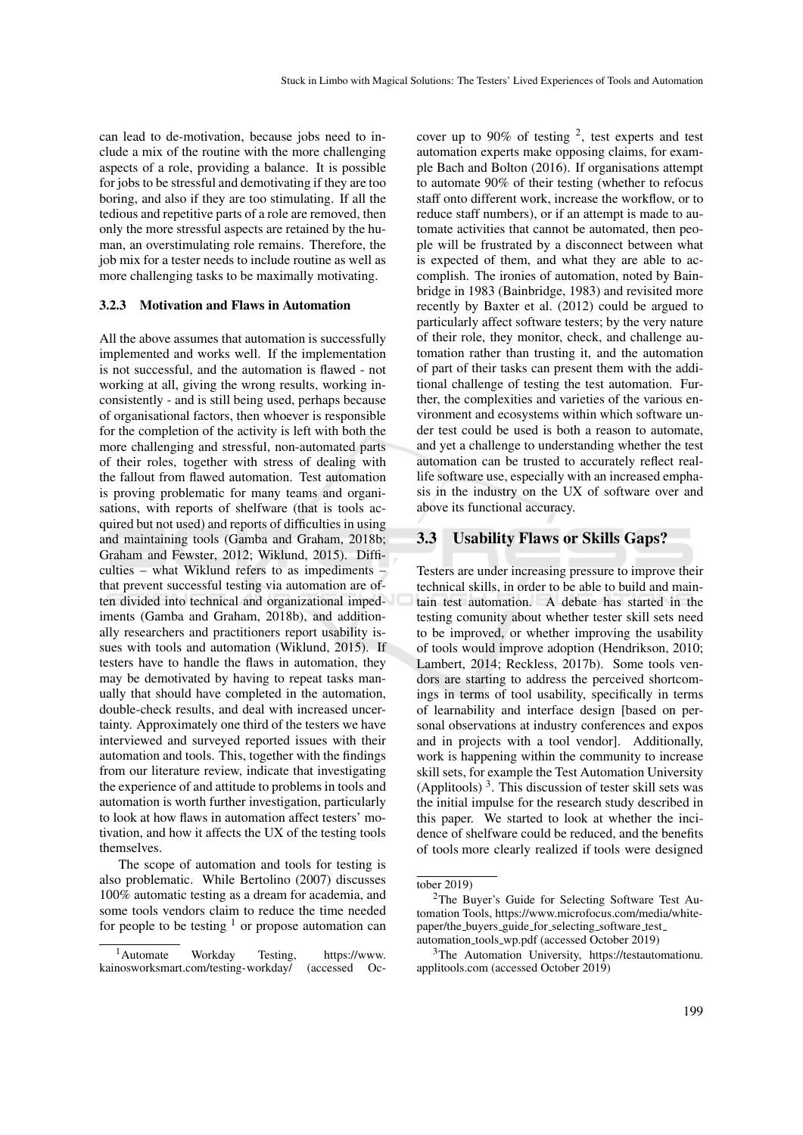can lead to de-motivation, because jobs need to include a mix of the routine with the more challenging aspects of a role, providing a balance. It is possible for jobs to be stressful and demotivating if they are too boring, and also if they are too stimulating. If all the tedious and repetitive parts of a role are removed, then only the more stressful aspects are retained by the human, an overstimulating role remains. Therefore, the job mix for a tester needs to include routine as well as more challenging tasks to be maximally motivating.

#### 3.2.3 Motivation and Flaws in Automation

All the above assumes that automation is successfully implemented and works well. If the implementation is not successful, and the automation is flawed - not working at all, giving the wrong results, working inconsistently - and is still being used, perhaps because of organisational factors, then whoever is responsible for the completion of the activity is left with both the more challenging and stressful, non-automated parts of their roles, together with stress of dealing with the fallout from flawed automation. Test automation is proving problematic for many teams and organisations, with reports of shelfware (that is tools acquired but not used) and reports of difficulties in using and maintaining tools (Gamba and Graham, 2018b; Graham and Fewster, 2012; Wiklund, 2015). Difficulties – what Wiklund refers to as impediments – that prevent successful testing via automation are often divided into technical and organizational impediments (Gamba and Graham, 2018b), and additionally researchers and practitioners report usability issues with tools and automation (Wiklund, 2015). If testers have to handle the flaws in automation, they may be demotivated by having to repeat tasks manually that should have completed in the automation, double-check results, and deal with increased uncertainty. Approximately one third of the testers we have interviewed and surveyed reported issues with their automation and tools. This, together with the findings from our literature review, indicate that investigating the experience of and attitude to problems in tools and automation is worth further investigation, particularly to look at how flaws in automation affect testers' motivation, and how it affects the UX of the testing tools themselves.

The scope of automation and tools for testing is also problematic. While Bertolino (2007) discusses 100% automatic testing as a dream for academia, and some tools vendors claim to reduce the time needed for people to be testing  $\frac{1}{1}$  or propose automation can

cover up to 90% of testing  $2$ , test experts and test automation experts make opposing claims, for example Bach and Bolton (2016). If organisations attempt to automate 90% of their testing (whether to refocus staff onto different work, increase the workflow, or to reduce staff numbers), or if an attempt is made to automate activities that cannot be automated, then people will be frustrated by a disconnect between what is expected of them, and what they are able to accomplish. The ironies of automation, noted by Bainbridge in 1983 (Bainbridge, 1983) and revisited more recently by Baxter et al. (2012) could be argued to particularly affect software testers; by the very nature of their role, they monitor, check, and challenge automation rather than trusting it, and the automation of part of their tasks can present them with the additional challenge of testing the test automation. Further, the complexities and varieties of the various environment and ecosystems within which software under test could be used is both a reason to automate, and yet a challenge to understanding whether the test automation can be trusted to accurately reflect reallife software use, especially with an increased emphasis in the industry on the UX of software over and above its functional accuracy.

#### 3.3 Usability Flaws or Skills Gaps?

Testers are under increasing pressure to improve their technical skills, in order to be able to build and maintain test automation. A debate has started in the testing comunity about whether tester skill sets need to be improved, or whether improving the usability of tools would improve adoption (Hendrikson, 2010; Lambert, 2014; Reckless, 2017b). Some tools vendors are starting to address the perceived shortcomings in terms of tool usability, specifically in terms of learnability and interface design [based on personal observations at industry conferences and expos and in projects with a tool vendor]. Additionally, work is happening within the community to increase skill sets, for example the Test Automation University (Applitools)<sup>3</sup>. This discussion of tester skill sets was the initial impulse for the research study described in this paper. We started to look at whether the incidence of shelfware could be reduced, and the benefits of tools more clearly realized if tools were designed

<sup>&</sup>lt;sup>1</sup>Automate Workday Testing, https://www. kainosworksmart.com/testing-workday/ (accessed Oc-

tober 2019)

<sup>2</sup>The Buyer's Guide for Selecting Software Test Automation Tools, https://www.microfocus.com/media/whitepaper/the\_buyers\_guide\_for\_selecting\_software\_test\_ automation tools wp.pdf (accessed October 2019)

<sup>3</sup>The Automation University, https://testautomationu. applitools.com (accessed October 2019)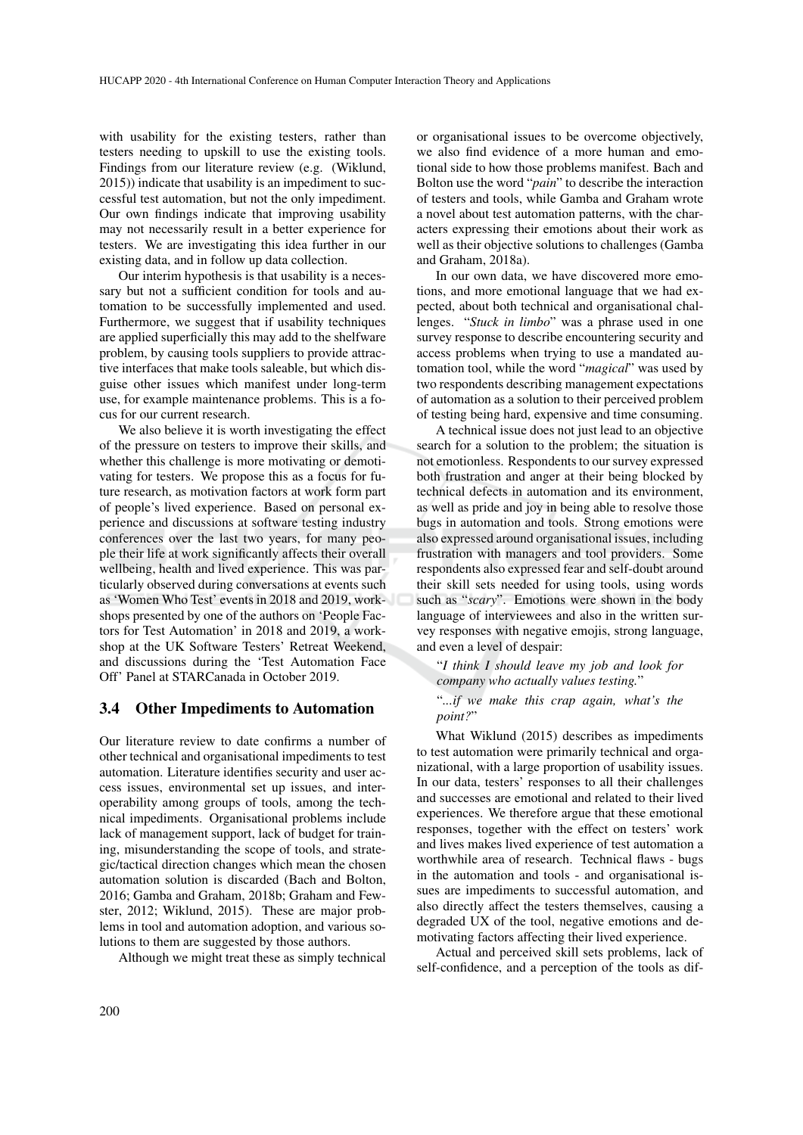with usability for the existing testers, rather than testers needing to upskill to use the existing tools. Findings from our literature review (e.g. (Wiklund, 2015)) indicate that usability is an impediment to successful test automation, but not the only impediment. Our own findings indicate that improving usability may not necessarily result in a better experience for testers. We are investigating this idea further in our existing data, and in follow up data collection.

Our interim hypothesis is that usability is a necessary but not a sufficient condition for tools and automation to be successfully implemented and used. Furthermore, we suggest that if usability techniques are applied superficially this may add to the shelfware problem, by causing tools suppliers to provide attractive interfaces that make tools saleable, but which disguise other issues which manifest under long-term use, for example maintenance problems. This is a focus for our current research.

We also believe it is worth investigating the effect of the pressure on testers to improve their skills, and whether this challenge is more motivating or demotivating for testers. We propose this as a focus for future research, as motivation factors at work form part of people's lived experience. Based on personal experience and discussions at software testing industry conferences over the last two years, for many people their life at work significantly affects their overall wellbeing, health and lived experience. This was particularly observed during conversations at events such as 'Women Who Test' events in 2018 and 2019, workshops presented by one of the authors on 'People Factors for Test Automation' in 2018 and 2019, a workshop at the UK Software Testers' Retreat Weekend, and discussions during the 'Test Automation Face Off' Panel at STARCanada in October 2019.

#### 3.4 Other Impediments to Automation

Our literature review to date confirms a number of other technical and organisational impediments to test automation. Literature identifies security and user access issues, environmental set up issues, and interoperability among groups of tools, among the technical impediments. Organisational problems include lack of management support, lack of budget for training, misunderstanding the scope of tools, and strategic/tactical direction changes which mean the chosen automation solution is discarded (Bach and Bolton, 2016; Gamba and Graham, 2018b; Graham and Fewster, 2012; Wiklund, 2015). These are major problems in tool and automation adoption, and various solutions to them are suggested by those authors.

Although we might treat these as simply technical

or organisational issues to be overcome objectively, we also find evidence of a more human and emotional side to how those problems manifest. Bach and Bolton use the word "*pain*" to describe the interaction of testers and tools, while Gamba and Graham wrote a novel about test automation patterns, with the characters expressing their emotions about their work as well as their objective solutions to challenges (Gamba and Graham, 2018a).

In our own data, we have discovered more emotions, and more emotional language that we had expected, about both technical and organisational challenges. "*Stuck in limbo*" was a phrase used in one survey response to describe encountering security and access problems when trying to use a mandated automation tool, while the word "*magical*" was used by two respondents describing management expectations of automation as a solution to their perceived problem of testing being hard, expensive and time consuming.

A technical issue does not just lead to an objective search for a solution to the problem; the situation is not emotionless. Respondents to our survey expressed both frustration and anger at their being blocked by technical defects in automation and its environment, as well as pride and joy in being able to resolve those bugs in automation and tools. Strong emotions were also expressed around organisational issues, including frustration with managers and tool providers. Some respondents also expressed fear and self-doubt around their skill sets needed for using tools, using words such as "*scary*". Emotions were shown in the body language of interviewees and also in the written survey responses with negative emojis, strong language, and even a level of despair:

"*I think I should leave my job and look for company who actually values testing.*"

"*...if we make this crap again, what's the point?*"

What Wiklund (2015) describes as impediments to test automation were primarily technical and organizational, with a large proportion of usability issues. In our data, testers' responses to all their challenges and successes are emotional and related to their lived experiences. We therefore argue that these emotional responses, together with the effect on testers' work and lives makes lived experience of test automation a worthwhile area of research. Technical flaws - bugs in the automation and tools - and organisational issues are impediments to successful automation, and also directly affect the testers themselves, causing a degraded UX of the tool, negative emotions and demotivating factors affecting their lived experience.

Actual and perceived skill sets problems, lack of self-confidence, and a perception of the tools as dif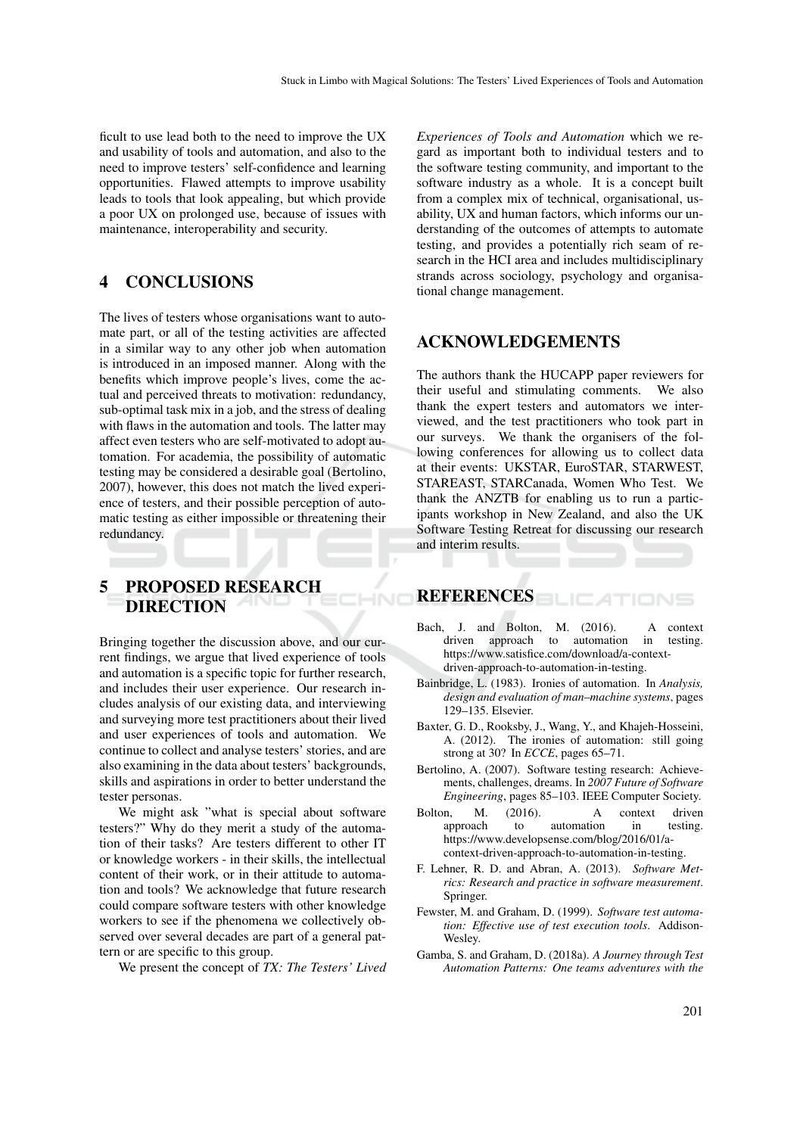ficult to use lead both to the need to improve the UX and usability of tools and automation, and also to the need to improve testers' self-confidence and learning opportunities. Flawed attempts to improve usability leads to tools that look appealing, but which provide a poor UX on prolonged use, because of issues with maintenance, interoperability and security.

# 4 CONCLUSIONS

The lives of testers whose organisations want to automate part, or all of the testing activities are affected in a similar way to any other job when automation is introduced in an imposed manner. Along with the benefits which improve people's lives, come the actual and perceived threats to motivation: redundancy, sub-optimal task mix in a job, and the stress of dealing with flaws in the automation and tools. The latter may affect even testers who are self-motivated to adopt automation. For academia, the possibility of automatic testing may be considered a desirable goal (Bertolino, 2007), however, this does not match the lived experience of testers, and their possible perception of automatic testing as either impossible or threatening their redundancy.

5 PROPOSED RESEARCH DIRECTION

Bringing together the discussion above, and our current findings, we argue that lived experience of tools and automation is a specific topic for further research, and includes their user experience. Our research includes analysis of our existing data, and interviewing and surveying more test practitioners about their lived and user experiences of tools and automation. We continue to collect and analyse testers' stories, and are also examining in the data about testers' backgrounds, skills and aspirations in order to better understand the tester personas.

We might ask "what is special about software testers?" Why do they merit a study of the automation of their tasks? Are testers different to other IT or knowledge workers - in their skills, the intellectual content of their work, or in their attitude to automation and tools? We acknowledge that future research could compare software testers with other knowledge workers to see if the phenomena we collectively observed over several decades are part of a general pattern or are specific to this group.

We present the concept of *TX: The Testers' Lived*

*Experiences of Tools and Automation* which we regard as important both to individual testers and to the software testing community, and important to the software industry as a whole. It is a concept built from a complex mix of technical, organisational, usability, UX and human factors, which informs our understanding of the outcomes of attempts to automate testing, and provides a potentially rich seam of research in the HCI area and includes multidisciplinary strands across sociology, psychology and organisational change management.

## ACKNOWLEDGEMENTS

The authors thank the HUCAPP paper reviewers for their useful and stimulating comments. We also thank the expert testers and automators we interviewed, and the test practitioners who took part in our surveys. We thank the organisers of the following conferences for allowing us to collect data at their events: UKSTAR, EuroSTAR, STARWEST, STAREAST, STARCanada, Women Who Test. We thank the ANZTB for enabling us to run a participants workshop in New Zealand, and also the UK Software Testing Retreat for discussing our research and interim results.

## REFERENCES

- Bach, J. and Bolton, M. (2016). A context driven approach to automation in testing. https://www.satisfice.com/download/a-contextdriven-approach-to-automation-in-testing.
- Bainbridge, L. (1983). Ironies of automation. In *Analysis, design and evaluation of man–machine systems*, pages 129–135. Elsevier.
- Baxter, G. D., Rooksby, J., Wang, Y., and Khajeh-Hosseini, A. (2012). The ironies of automation: still going strong at 30? In *ECCE*, pages 65–71.
- Bertolino, A. (2007). Software testing research: Achievements, challenges, dreams. In *2007 Future of Software Engineering*, pages 85–103. IEEE Computer Society.
- Bolton, M. (2016). A context driven<br>approach to automation in testing. approach to automation in https://www.developsense.com/blog/2016/01/acontext-driven-approach-to-automation-in-testing.
- F. Lehner, R. D. and Abran, A. (2013). *Software Metrics: Research and practice in software measurement*. Springer.
- Fewster, M. and Graham, D. (1999). *Software test automation: Effective use of test execution tools*. Addison-Wesley.
- Gamba, S. and Graham, D. (2018a). *A Journey through Test Automation Patterns: One teams adventures with the*